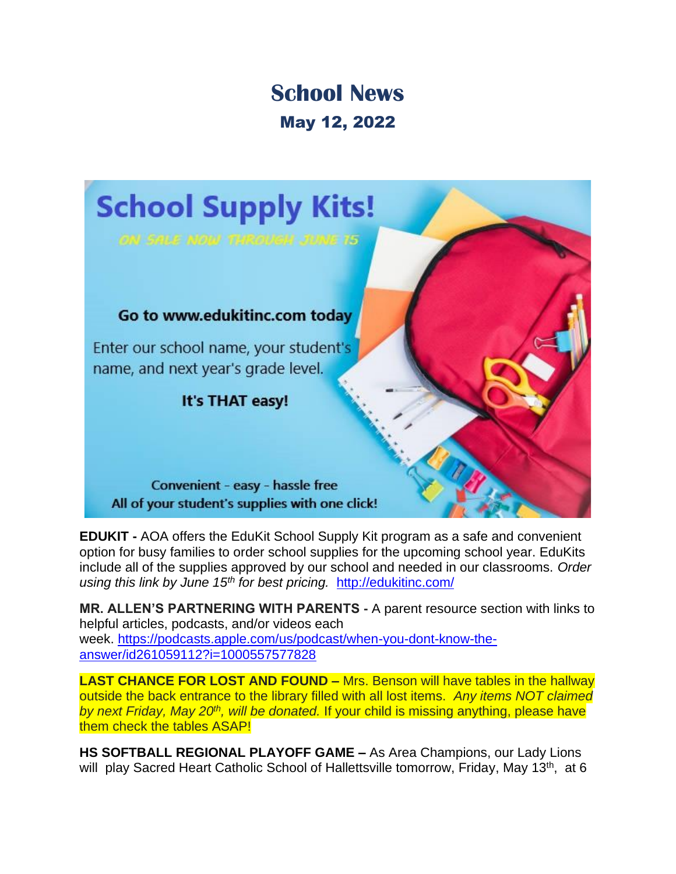## **School News** May 12, 2022



**EDUKIT -** AOA offers the EduKit School Supply Kit program as a safe and convenient option for busy families to order school supplies for the upcoming school year. EduKits include all of the supplies approved by our school and needed in our classrooms. *Order using this link by June 15th for best pricing.* <http://edukitinc.com/>

**MR. ALLEN'S PARTNERING WITH PARENTS -** A parent resource section with links to helpful articles, podcasts, and/or videos each week. [https://podcasts.apple.com/us/podcast/when-you-dont-know-the](https://podcasts.apple.com/us/podcast/when-you-dont-know-the-answer/id261059112?i=1000557577828)[answer/id261059112?i=1000557577828](https://podcasts.apple.com/us/podcast/when-you-dont-know-the-answer/id261059112?i=1000557577828)

**LAST CHANCE FOR LOST AND FOUND –** Mrs. Benson will have tables in the hallway outside the back entrance to the library filled with all lost items. *Any items NOT claimed by next Friday, May 20th, will be donated.* If your child is missing anything, please have them check the tables ASAP!

**HS SOFTBALL REGIONAL PLAYOFF GAME –** As Area Champions, our Lady Lions will play Sacred Heart Catholic School of Hallettsville tomorrow, Friday, May 13<sup>th</sup>, at 6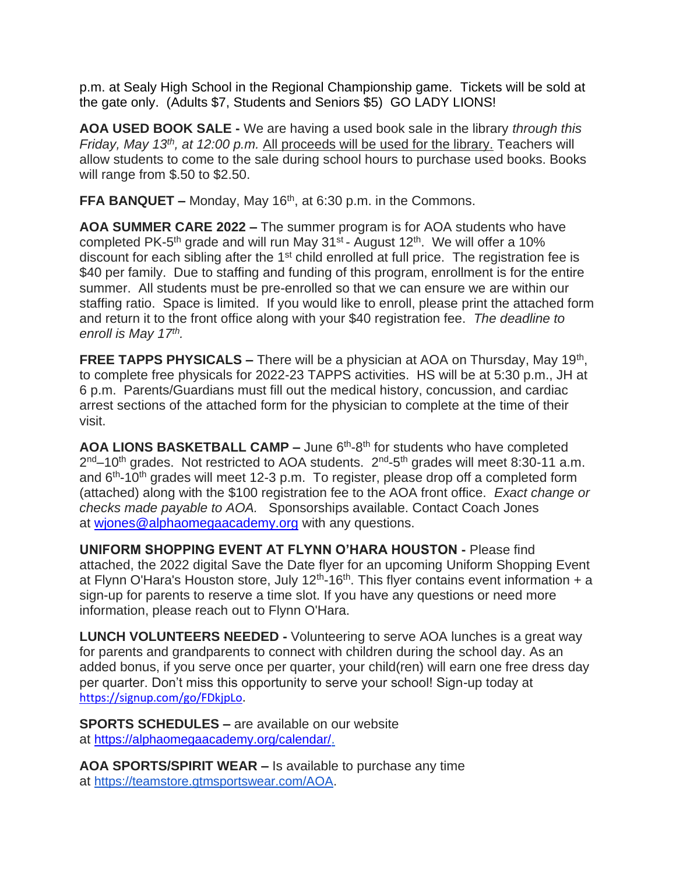p.m. at Sealy High School in the Regional Championship game. Tickets will be sold at the gate only. (Adults \$7, Students and Seniors \$5) GO LADY LIONS!

**AOA USED BOOK SALE -** We are having a used book sale in the library *through this Friday, May 13th, at 12:00 p.m.* All proceeds will be used for the library. Teachers will allow students to come to the sale during school hours to purchase used books. Books will range from \$.50 to \$2.50.

**FFA BANQUET –** Monday, May 16<sup>th</sup>, at 6:30 p.m. in the Commons.

**AOA SUMMER CARE 2022 –** The summer program is for AOA students who have completed PK-5<sup>th</sup> grade and will run May 31<sup>st</sup> - August 12<sup>th</sup>. We will offer a 10% discount for each sibling after the 1<sup>st</sup> child enrolled at full price. The registration fee is \$40 per family. Due to staffing and funding of this program, enrollment is for the entire summer. All students must be pre-enrolled so that we can ensure we are within our staffing ratio. Space is limited. If you would like to enroll, please print the attached form and return it to the front office along with your \$40 registration fee. *The deadline to enroll is May 17th .* 

**FREE TAPPS PHYSICALS –** There will be a physician at AOA on Thursday, May 19<sup>th</sup>, to complete free physicals for 2022-23 TAPPS activities. HS will be at 5:30 p.m., JH at 6 p.m. Parents/Guardians must fill out the medical history, concussion, and cardiac arrest sections of the attached form for the physician to complete at the time of their visit.

AOA LIONS BASKETBALL CAMP - June 6<sup>th</sup>-8<sup>th</sup> for students who have completed 2<sup>nd</sup>–10<sup>th</sup> grades. Not restricted to AOA students. 2<sup>nd</sup>-5<sup>th</sup> grades will meet 8:30-11 a.m. and 6<sup>th</sup>-10<sup>th</sup> grades will meet 12-3 p.m. To register, please drop off a completed form (attached) along with the \$100 registration fee to the AOA front office. *Exact change or checks made payable to AOA.* Sponsorships available. Contact Coach Jones at [wjones@alphaomegaacademy.org](mailto:wjones@alphaomegaacademy.org) with any questions.

**UNIFORM SHOPPING EVENT AT FLYNN O'HARA HOUSTON -** Please find attached, the 2022 digital Save the Date flyer for an upcoming Uniform Shopping Event at Flynn O'Hara's Houston store, July  $12<sup>th</sup>$ -16<sup>th</sup>. This flyer contains event information + a sign-up for parents to reserve a time slot. If you have any questions or need more information, please reach out to Flynn O'Hara.

**LUNCH VOLUNTEERS NEEDED -** Volunteering to serve AOA lunches is a great way for parents and grandparents to connect with children during the school day. As an added bonus, if you serve once per quarter, your child(ren) will earn one free dress day per quarter. Don't miss this opportunity to serve your school! Sign-up today at [https://signup.com/go/FDkjpLo.](https://signup.com/go/FDkjpLo)

**SPORTS SCHEDULES –** are available on our website at [https://alphaomegaacademy.org/calendar/.](https://alphaomegaacademy.org/calendar/)

**AOA SPORTS/SPIRIT WEAR –** Is available to purchase any time at [https://teamstore.gtmsportswear.com/AOA.](https://teamstore.gtmsportswear.com/AOA)